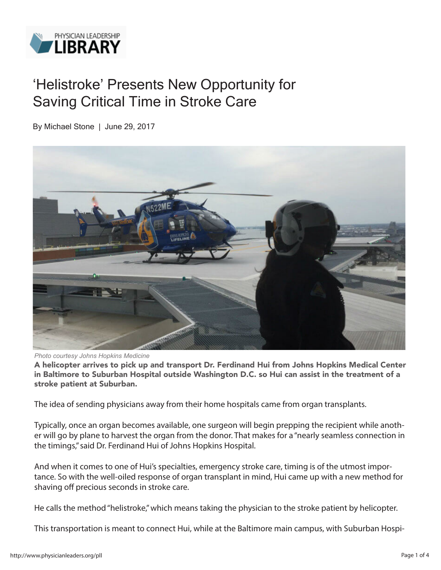

## 'Helistroke' Presents New Opportunity for Saving Critical Time in Stroke Care

By Michael Stone | June 29, 2017



*Photo courtesy Johns Hopkins Medicine*

A helicopter arrives to pick up and transport Dr. Ferdinand Hui from Johns Hopkins Medical Center in Baltimore to Suburban Hospital outside Washington D.C. so Hui can assist in the treatment of a stroke patient at Suburban.

The idea of sending physicians away from their home hospitals came from organ transplants.

Typically, once an organ becomes available, one surgeon will begin prepping the recipient while another will go by plane to harvest the organ from the donor. That makes for a "nearly seamless connection in the timings," said Dr. Ferdinand Hui of Johns Hopkins Hospital.

And when it comes to one of Hui's specialties, emergency stroke care, timing is of the utmost importance. So with the well-oiled response of organ transplant in mind, Hui came up with a new method for shaving off precious seconds in stroke care.

He calls the method "helistroke," which means taking the physician to the stroke patient by helicopter.

This transportation is meant to connect Hui, while at the Baltimore main campus, with Suburban Hospi-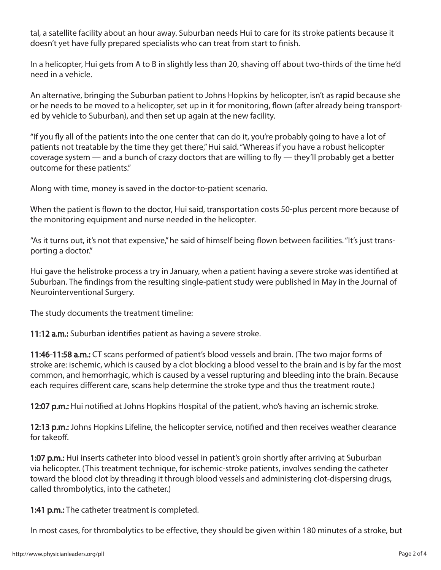tal, a satellite facility about an hour away. Suburban needs Hui to care for its stroke patients because it doesn't yet have fully prepared specialists who can treat from start to finish.

In a helicopter, Hui gets from A to B in slightly less than 20, shaving off about two-thirds of the time he'd need in a vehicle.

An alternative, bringing the Suburban patient to Johns Hopkins by helicopter, isn't as rapid because she or he needs to be moved to a helicopter, set up in it for monitoring, flown (after already being transported by vehicle to Suburban), and then set up again at the new facility.

"If you fly all of the patients into the one center that can do it, you're probably going to have a lot of patients not treatable by the time they get there," Hui said. "Whereas if you have a robust helicopter coverage system — and a bunch of crazy doctors that are willing to fly — they'll probably get a better outcome for these patients."

Along with time, money is saved in the doctor-to-patient scenario.

When the patient is flown to the doctor, Hui said, transportation costs 50-plus percent more because of the monitoring equipment and nurse needed in the helicopter.

"As it turns out, it's not that expensive," he said of himself being flown between facilities. "It's just transporting a doctor."

Hui gave the helistroke process a try in January, when a patient having a severe stroke was identified at Suburban. The findings from the resulting single-patient study were published in May in the Journal of Neurointerventional Surgery.

The study documents the treatment timeline:

11:12 a.m.: Suburban identifies patient as having a severe stroke.

11:46-11:58 a.m.: CT scans performed of patient's blood vessels and brain. (The two major forms of stroke are: ischemic, which is caused by a clot blocking a blood vessel to the brain and is by far the most common, and hemorrhagic, which is caused by a vessel rupturing and bleeding into the brain. Because each requires different care, scans help determine the stroke type and thus the treatment route.)

12:07 p.m.: Hui notified at Johns Hopkins Hospital of the patient, who's having an ischemic stroke.

12:13 p.m.: Johns Hopkins Lifeline, the helicopter service, notified and then receives weather clearance for takeoff.

1:07 p.m.: Hui inserts catheter into blood vessel in patient's groin shortly after arriving at Suburban via helicopter. (This treatment technique, for ischemic-stroke patients, involves sending the catheter toward the blood clot by threading it through blood vessels and administering clot-dispersing drugs, called thrombolytics, into the catheter.)

1:41 p.m.: The catheter treatment is completed.

In most cases, for thrombolytics to be effective, they should be given within 180 minutes of a stroke, but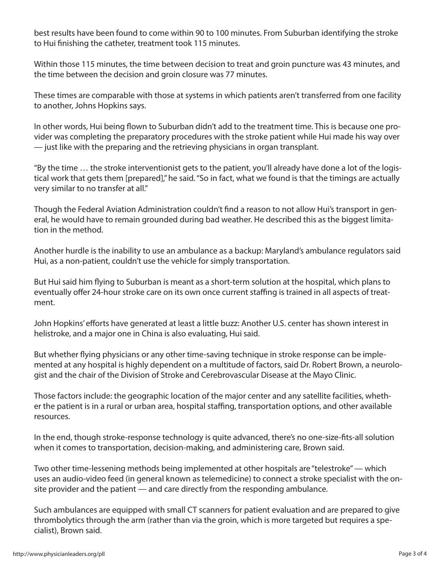best results have been found to come within 90 to 100 minutes. From Suburban identifying the stroke to Hui finishing the catheter, treatment took 115 minutes.

Within those 115 minutes, the time between decision to treat and groin puncture was 43 minutes, and the time between the decision and groin closure was 77 minutes.

These times are comparable with those at systems in which patients aren't transferred from one facility to another, Johns Hopkins says.

In other words, Hui being flown to Suburban didn't add to the treatment time. This is because one provider was completing the preparatory procedures with the stroke patient while Hui made his way over — just like with the preparing and the retrieving physicians in organ transplant.

"By the time … the stroke interventionist gets to the patient, you'll already have done a lot of the logistical work that gets them [prepared]," he said. "So in fact, what we found is that the timings are actually very similar to no transfer at all."

Though the Federal Aviation Administration couldn't find a reason to not allow Hui's transport in general, he would have to remain grounded during bad weather. He described this as the biggest limitation in the method.

Another hurdle is the inability to use an ambulance as a backup: Maryland's ambulance regulators said Hui, as a non-patient, couldn't use the vehicle for simply transportation.

But Hui said him flying to Suburban is meant as a short-term solution at the hospital, which plans to eventually offer 24-hour stroke care on its own once current staffing is trained in all aspects of treatment.

John Hopkins' efforts have generated at least a little buzz: Another U.S. center has shown interest in helistroke, and a major one in China is also evaluating, Hui said.

But whether flying physicians or any other time-saving technique in stroke response can be implemented at any hospital is highly dependent on a multitude of factors, said Dr. Robert Brown, a neurologist and the chair of the Division of Stroke and Cerebrovascular Disease at the Mayo Clinic.

Those factors include: the geographic location of the major center and any satellite facilities, whether the patient is in a rural or urban area, hospital staffing, transportation options, and other available resources.

In the end, though stroke-response technology is quite advanced, there's no one-size-fits-all solution when it comes to transportation, decision-making, and administering care, Brown said.

Two other time-lessening methods being implemented at other hospitals are "telestroke" — which uses an audio-video feed (in general known as telemedicine) to connect a stroke specialist with the onsite provider and the patient — and care directly from the responding ambulance.

Such ambulances are equipped with small CT scanners for patient evaluation and are prepared to give thrombolytics through the arm (rather than via the groin, which is more targeted but requires a specialist), Brown said.